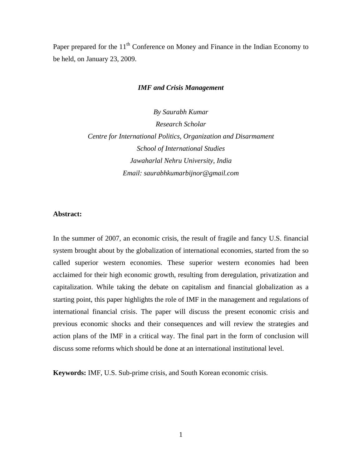Paper prepared for the 11<sup>th</sup> Conference on Money and Finance in the Indian Economy to be held, on January 23, 2009.

#### *IMF and Crisis Management*

*By Saurabh Kumar Research Scholar Centre for International Politics, Organization and Disarmament School of International Studies Jawaharlal Nehru University, India Email: saurabhkumarbijnor@gmail.com*

#### **Abstract:**

In the summer of 2007, an economic crisis, the result of fragile and fancy U.S. financial system brought about by the globalization of international economies, started from the so called superior western economies. These superior western economies had been acclaimed for their high economic growth, resulting from deregulation, privatization and capitalization. While taking the debate on capitalism and financial globalization as a starting point, this paper highlights the role of IMF in the management and regulations of international financial crisis. The paper will discuss the present economic crisis and previous economic shocks and their consequences and will review the strategies and action plans of the IMF in a critical way. The final part in the form of conclusion will discuss some reforms which should be done at an international institutional level.

**Keywords:** IMF, U.S. Sub-prime crisis, and South Korean economic crisis.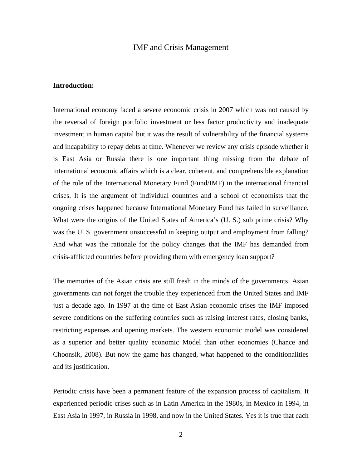## IMF and Crisis Management

#### **Introduction:**

International economy faced a severe economic crisis in 2007 which was not caused by the reversal of foreign portfolio investment or less factor productivity and inadequate investment in human capital but it was the result of vulnerability of the financial systems and incapability to repay debts at time. Whenever we review any crisis episode whether it is East Asia or Russia there is one important thing missing from the debate of international economic affairs which is a clear, coherent, and comprehensible explanation of the role of the International Monetary Fund (Fund/IMF) in the international financial crises. It is the argument of individual countries and a school of economists that the ongoing crises happened because International Monetary Fund has failed in surveillance. What were the origins of the United States of America's (U. S.) sub prime crisis? Why was the U. S. government unsuccessful in keeping output and employment from falling? And what was the rationale for the policy changes that the IMF has demanded from crisis-afflicted countries before providing them with emergency loan support?

The memories of the Asian crisis are still fresh in the minds of the governments. Asian governments can not forget the trouble they experienced from the United States and IMF just a decade ago. In 1997 at the time of East Asian economic crises the IMF imposed severe conditions on the suffering countries such as raising interest rates, closing banks, restricting expenses and opening markets. The western economic model was considered as a superior and better quality economic Model than other economies (Chance and Choonsik, 2008). But now the game has changed, what happened to the conditionalities and its justification.

Periodic crisis have been a permanent feature of the expansion process of capitalism. It experienced periodic crises such as in Latin America in the 1980s, in Mexico in 1994, in East Asia in 1997, in Russia in 1998, and now in the United States. Yes it is true that each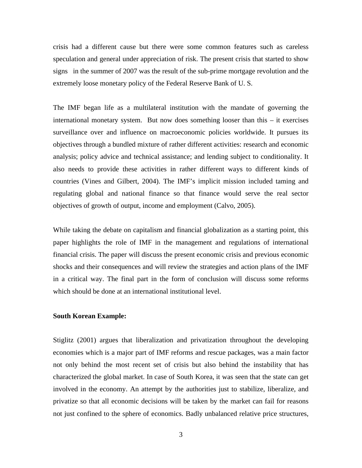crisis had a different cause but there were some common features such as careless speculation and general under appreciation of risk. The present crisis that started to show signs in the summer of 2007 was the result of the sub-prime mortgage revolution and the extremely loose monetary policy of the Federal Reserve Bank of U. S.

The IMF began life as a multilateral institution with the mandate of governing the international monetary system. But now does something looser than this – it exercises surveillance over and influence on macroeconomic policies worldwide. It pursues its objectives through a bundled mixture of rather different activities: research and economic analysis; policy advice and technical assistance; and lending subject to conditionality. It also needs to provide these activities in rather different ways to different kinds of countries (Vines and Gilbert, 2004). The IMF's implicit mission included taming and regulating global and national finance so that finance would serve the real sector objectives of growth of output, income and employment (Calvo, 2005).

While taking the debate on capitalism and financial globalization as a starting point, this paper highlights the role of IMF in the management and regulations of international financial crisis. The paper will discuss the present economic crisis and previous economic shocks and their consequences and will review the strategies and action plans of the IMF in a critical way. The final part in the form of conclusion will discuss some reforms which should be done at an international institutional level.

#### **South Korean Example:**

Stiglitz (2001) argues that liberalization and privatization throughout the developing economies which is a major part of IMF reforms and rescue packages, was a main factor not only behind the most recent set of crisis but also behind the instability that has characterized the global market. In case of South Korea, it was seen that the state can get involved in the economy. An attempt by the authorities just to stabilize, liberalize, and privatize so that all economic decisions will be taken by the market can fail for reasons not just confined to the sphere of economics. Badly unbalanced relative price structures,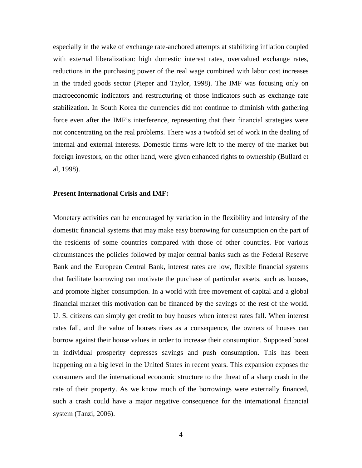especially in the wake of exchange rate-anchored attempts at stabilizing inflation coupled with external liberalization: high domestic interest rates, overvalued exchange rates, reductions in the purchasing power of the real wage combined with labor cost increases in the traded goods sector (Pieper and Taylor, 1998). The IMF was focusing only on macroeconomic indicators and restructuring of those indicators such as exchange rate stabilization. In South Korea the currencies did not continue to diminish with gathering force even after the IMF's interference, representing that their financial strategies were not concentrating on the real problems. There was a twofold set of work in the dealing of internal and external interests. Domestic firms were left to the mercy of the market but foreign investors, on the other hand, were given enhanced rights to ownership (Bullard et al, 1998).

#### **Present International Crisis and IMF:**

Monetary activities can be encouraged by variation in the flexibility and intensity of the domestic financial systems that may make easy borrowing for consumption on the part of the residents of some countries compared with those of other countries. For various circumstances the policies followed by major central banks such as the Federal Reserve Bank and the European Central Bank, interest rates are low, flexible financial systems that facilitate borrowing can motivate the purchase of particular assets, such as houses, and promote higher consumption. In a world with free movement of capital and a global financial market this motivation can be financed by the savings of the rest of the world. U. S. citizens can simply get credit to buy houses when interest rates fall. When interest rates fall, and the value of houses rises as a consequence, the owners of houses can borrow against their house values in order to increase their consumption. Supposed boost in individual prosperity depresses savings and push consumption. This has been happening on a big level in the United States in recent years. This expansion exposes the consumers and the international economic structure to the threat of a sharp crash in the rate of their property. As we know much of the borrowings were externally financed, such a crash could have a major negative consequence for the international financial system (Tanzi, 2006).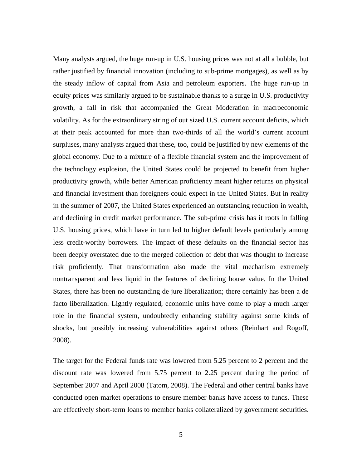Many analysts argued, the huge run-up in U.S. housing prices was not at all a bubble, but rather justified by financial innovation (including to sub-prime mortgages), as well as by the steady inflow of capital from Asia and petroleum exporters. The huge run-up in equity prices was similarly argued to be sustainable thanks to a surge in U.S. productivity growth, a fall in risk that accompanied the Great Moderation in macroeconomic volatility. As for the extraordinary string of out sized U.S. current account deficits, which at their peak accounted for more than two-thirds of all the world's current account surpluses, many analysts argued that these, too, could be justified by new elements of the global economy. Due to a mixture of a flexible financial system and the improvement of the technology explosion, the United States could be projected to benefit from higher productivity growth, while better American proficiency meant higher returns on physical and financial investment than foreigners could expect in the United States. But in reality in the summer of 2007, the United States experienced an outstanding reduction in wealth, and declining in credit market performance. The sub-prime crisis has it roots in falling U.S. housing prices, which have in turn led to higher default levels particularly among less credit-worthy borrowers. The impact of these defaults on the financial sector has been deeply overstated due to the merged collection of debt that was thought to increase risk proficiently. That transformation also made the vital mechanism extremely nontransparent and less liquid in the features of declining house value. In the United States, there has been no outstanding de jure liberalization; there certainly has been a de facto liberalization. Lightly regulated, economic units have come to play a much larger role in the financial system, undoubtedly enhancing stability against some kinds of shocks, but possibly increasing vulnerabilities against others (Reinhart and Rogoff, 2008).

The target for the Federal funds rate was lowered from 5.25 percent to 2 percent and the discount rate was lowered from 5.75 percent to 2.25 percent during the period of September 2007 and April 2008 (Tatom, 2008). The Federal and other central banks have conducted open market operations to ensure member banks have access to funds. These are effectively short-term loans to member banks collateralized by government securities.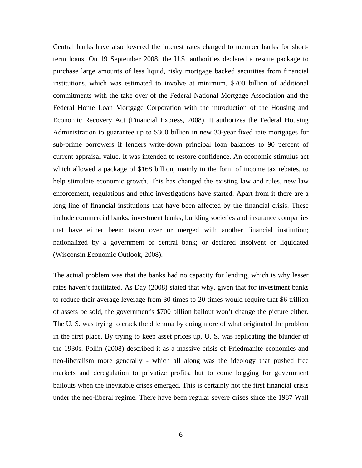Central banks have also lowered the interest rates charged to member banks for shortterm loans. On 19 September 2008, the U.S. authorities declared a rescue package to purchase large amounts of less liquid, risky mortgage backed securities from financial institutions, which was estimated to involve at minimum, \$700 billion of additional commitments with the take over of the Federal National Mortgage Association and the Federal Home Loan Mortgage Corporation with the introduction of the Housing and Economic Recovery Act (Financial Express, 2008). It authorizes the Federal Housing Administration to guarantee up to \$300 billion in new 30-year fixed rate mortgages for sub-prime borrowers if lenders write-down principal loan balances to 90 percent of current appraisal value. It was intended to restore confidence. An economic stimulus act which allowed a package of \$168 billion, mainly in the form of income tax rebates, to help stimulate economic growth. This has changed the existing law and rules, new law enforcement, regulations and ethic investigations have started. Apart from it there are a long line of financial institutions that have been affected by the financial crisis. These include commercial banks, investment banks, building societies and insurance companies that have either been: taken over or merged with another financial institution; nationalized by a government or central bank; or declared insolvent or liquidated (Wisconsin Economic Outlook, 2008).

The actual problem was that the banks had no capacity for lending, which is why lesser rates haven't facilitated. As Day (2008) stated that why, given that for investment banks to reduce their average leverage from 30 times to 20 times would require that \$6 trillion of assets be sold, the government's \$700 billion bailout won't change the picture either. The U. S. was trying to crack the dilemma by doing more of what originated the problem in the first place. By trying to keep asset prices up, U. S. was replicating the blunder of the 1930s. Pollin (2008) described it as a massive crisis of Friedmanite economics and neo-liberalism more generally - which all along was the ideology that pushed free markets and deregulation to privatize profits, but to come begging for government bailouts when the inevitable crises emerged. This is certainly not the first financial crisis under the neo-liberal regime. There have been regular severe crises since the 1987 Wall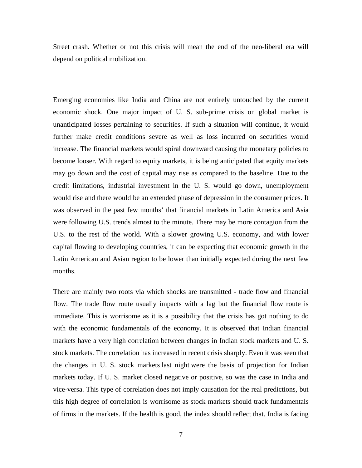Street crash. Whether or not this crisis will mean the end of the neo-liberal era will depend on political mobilization.

Emerging economies like India and China are not entirely untouched by the current economic shock. One major impact of U. S. sub-prime crisis on global market is unanticipated losses pertaining to securities. If such a situation will continue, it would further make credit conditions severe as well as loss incurred on securities would increase. The financial markets would spiral downward causing the monetary policies to become looser. With regard to equity markets, it is being anticipated that equity markets may go down and the cost of capital may rise as compared to the baseline. Due to the credit limitations, industrial investment in the U. S. would go down, unemployment would rise and there would be an extended phase of depression in the consumer prices. It was observed in the past few months' that financial markets in Latin America and Asia were following U.S. trends almost to the minute. There may be more contagion from the U.S. to the rest of the world. With a slower growing U.S. economy, and with lower capital flowing to developing countries, it can be expecting that economic growth in the Latin American and Asian region to be lower than initially expected during the next few months.

There are mainly two roots via which shocks are transmitted - trade flow and financial flow. The trade flow route usually impacts with a lag but the financial flow route is immediate. This is worrisome as it is a possibility that the crisis has got nothing to do with the economic fundamentals of the economy. It is observed that Indian financial markets have a very high correlation between changes in Indian stock markets and U. S. stock markets. The correlation has increased in recent crisis sharply. Even it was seen that the changes in U. S. stock markets last night were the basis of projection for Indian markets today. If U. S. market closed negative or positive, so was the case in India and vice-versa. This type of correlation does not imply causation for the real predictions, but this high degree of correlation is worrisome as stock markets should track fundamentals of firms in the markets. If the health is good, the index should reflect that. India is facing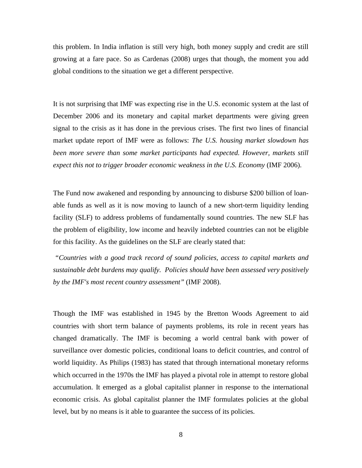this problem. In India inflation is still very high, both money supply and credit are still growing at a fare pace. So as Cardenas (2008) urges that though, the moment you add global conditions to the situation we get a different perspective.

It is not surprising that IMF was expecting rise in the U.S. economic system at the last of December 2006 and its monetary and capital market departments were giving green signal to the crisis as it has done in the previous crises. The first two lines of financial market update report of IMF were as follows: *The U.S. housing market slowdown has*  been more severe than some market participants had expected. However, markets still *expect this not to trigger broader economic weakness in the U.S. Economy* (IMF 2006).

The Fund now awakened and responding by announcing to disburse \$200 billion of loanable funds as well as it is now moving to launch of a new short-term liquidity lending facility (SLF) to address problems of fundamentally sound countries. The new SLF has the problem of eligibility, low income and heavily indebted countries can not be eligible for this facility. As the guidelines on the SLF are clearly stated that:

*"Countries with a good track record of sound policies, access to capital markets and sustainable debt burdens may qualify. Policies should have been assessed very positively by the IMF's most recent country assessment"* (IMF 2008).

Though the IMF was established in 1945 by the Bretton Woods Agreement to aid countries with short term balance of payments problems, its role in recent years has changed dramatically. The IMF is becoming a world central bank with power of surveillance over domestic policies, conditional loans to deficit countries, and control of world liquidity. As Philips (1983) has stated that through international monetary reforms which occurred in the 1970s the IMF has played a pivotal role in attempt to restore global accumulation. It emerged as a global capitalist planner in response to the international economic crisis. As global capitalist planner the IMF formulates policies at the global level, but by no means is it able to guarantee the success of its policies.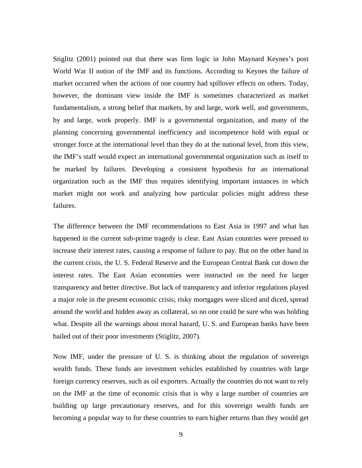Stiglitz (2001) pointed out that there was firm logic in John Maynard Keynes's post World War II notion of the IMF and its functions. According to Keynes the failure of market occurred when the actions of one country had spillover effects on others. Today, however, the dominant view inside the IMF is sometimes characterized as market fundamentalism, a strong belief that markets, by and large, work well, and governments, by and large, work properly. IMF is a governmental organization, and many of the planning concerning governmental inefficiency and incompetence hold with equal or stronger force at the international level than they do at the national level, from this view, the IMF's staff would expect an international governmental organization such as itself to be marked by failures. Developing a consistent hypothesis for an international organization such as the IMF thus requires identifying important instances in which market might not work and analyzing how particular policies might address these failures.

The difference between the IMF recommendations to East Asia in 1997 and what has happened in the current sub-prime tragedy is clear. East Asian countries were pressed to increase their interest rates, causing a response of failure to pay. But on the other hand in the current crisis, the U. S. Federal Reserve and the European Central Bank cut down the interest rates. The East Asian economies were instructed on the need for larger transparency and better directive. But lack of transparency and inferior regulations played a major role in the present economic crisis; risky mortgages were sliced and diced, spread around the world and hidden away as collateral, so no one could be sure who was holding what. Despite all the warnings about moral hazard, U. S. and European banks have been bailed out of their poor investments (Stiglitz, 2007).

Now IMF, under the pressure of U. S. is thinking about the regulation of sovereign wealth funds. These funds are investment vehicles established by countries with large foreign currency reserves, such as oil exporters. Actually the countries do not want to rely on the IMF at the time of economic crisis that is why a large number of countries are building up large precautionary reserves, and for this sovereign wealth funds are becoming a popular way to for these countries to earn higher returns than they would get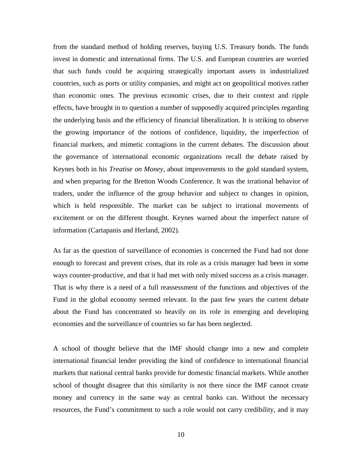from the standard method of holding reserves, buying U.S. Treasury bonds. The funds invest in domestic and international firms. The U.S. and European countries are worried that such funds could be acquiring strategically important assets in industrialized countries, such as ports or utility companies, and might act on geopolitical motives rather than economic ones. The previous economic crises, due to their context and ripple effects, have brought in to question a number of supposedly acquired principles regarding the underlying basis and the efficiency of financial liberalization. It is striking to observe the growing importance of the notions of confidence, liquidity, the imperfection of financial markets, and mimetic contagions in the current debates. The discussion about the governance of international economic organizations recall the debate raised by Keynes both in his *Treatise on Money,* about improvements to the gold standard system, and when preparing for the Bretton Woods Conference. It was the irrational behavior of traders, under the influence of the group behavior and subject to changes in opinion, which is held responsible. The market can be subject to irrational movements of excitement or on the different thought. Keynes warned about the imperfect nature of information (Cartapanis and Herland, 2002).

As far as the question of surveillance of economies is concerned the Fund had not done enough to forecast and prevent crises, that its role as a crisis manager had been in some ways counter-productive, and that it had met with only mixed success as a crisis manager. That is why there is a need of a full reassessment of the functions and objectives of the Fund in the global economy seemed relevant. In the past few years the current debate about the Fund has concentrated so heavily on its role in emerging and developing economies and the surveillance of countries so far has been neglected.

A school of thought believe that the IMF should change into a new and complete international financial lender providing the kind of confidence to international financial markets that national central banks provide for domestic financial markets. While another school of thought disagree that this similarity is not there since the IMF cannot create money and currency in the same way as central banks can. Without the necessary resources, the Fund's commitment to such a role would not carry credibility, and it may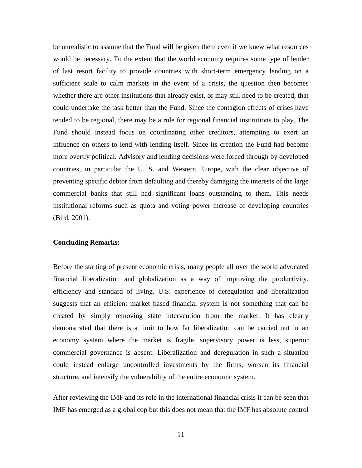be unrealistic to assume that the Fund will be given them even if we knew what resources would be necessary. To the extent that the world economy requires some type of lender of last resort facility to provide countries with short-term emergency lending on a sufficient scale to calm markets in the event of a crisis, the question then becomes whether there are other institutions that already exist, or may still need to be created, that could undertake the task better than the Fund. Since the contagion effects of crises have tended to be regional, there may be a role for regional financial institutions to play. The Fund should instead focus on coordinating other creditors, attempting to exert an influence on others to lend with lending itself. Since its creation the Fund had become more overtly political. Advisory and lending decisions were forced through by developed countries, in particular the U. S. and Western Europe, with the clear objective of preventing specific debtor from defaulting and thereby damaging the interests of the large commercial banks that still had significant loans outstanding to them. This needs institutional reforms such as quota and voting power increase of developing countries (Bird, 2001).

#### **Concluding Remarks:**

Before the starting of present economic crisis, many people all over the world advocated financial liberalization and globalization as a way of improving the productivity, efficiency and standard of living. U.S. experience of deregulation and liberalization suggests that an efficient market based financial system is not something that can be created by simply removing state intervention from the market. It has clearly demonstrated that there is a limit to how far liberalization can be carried out in an economy system where the market is fragile, supervisory power is less, superior commercial governance is absent. Liberalization and deregulation in such a situation could instead enlarge uncontrolled investments by the firms, worsen its financial structure, and intensify the vulnerability of the entire economic system.

After reviewing the IMF and its role in the international financial crisis it can be seen that IMF has emerged as a global cop but this does not mean that the IMF has absolute control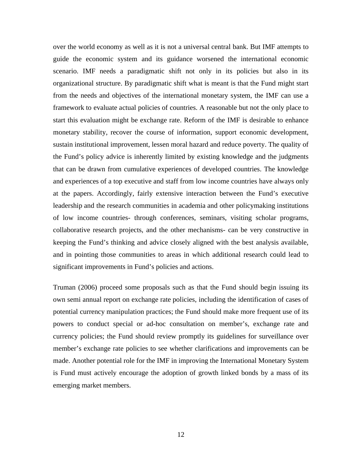over the world economy as well as it is not a universal central bank. But IMF attempts to guide the economic system and its guidance worsened the international economic scenario. IMF needs a paradigmatic shift not only in its policies but also in its organizational structure. By paradigmatic shift what is meant is that the Fund might start from the needs and objectives of the international monetary system, the IMF can use a framework to evaluate actual policies of countries. A reasonable but not the only place to start this evaluation might be exchange rate. Reform of the IMF is desirable to enhance monetary stability, recover the course of information, support economic development, sustain institutional improvement, lessen moral hazard and reduce poverty. The quality of the Fund's policy advice is inherently limited by existing knowledge and the judgments that can be drawn from cumulative experiences of developed countries. The knowledge and experiences of a top executive and staff from low income countries have always only at the papers. Accordingly, fairly extensive interaction between the Fund's executive leadership and the research communities in academia and other policymaking institutions of low income countries- through conferences, seminars, visiting scholar programs, collaborative research projects, and the other mechanisms- can be very constructive in keeping the Fund's thinking and advice closely aligned with the best analysis available, and in pointing those communities to areas in which additional research could lead to significant improvements in Fund's policies and actions.

Truman (2006) proceed some proposals such as that the Fund should begin issuing its own semi annual report on exchange rate policies, including the identification of cases of potential currency manipulation practices; the Fund should make more frequent use of its powers to conduct special or ad-hoc consultation on member's, exchange rate and currency policies; the Fund should review promptly its guidelines for surveillance over member's exchange rate policies to see whether clarifications and improvements can be made. Another potential role for the IMF in improving the International Monetary System is Fund must actively encourage the adoption of growth linked bonds by a mass of its emerging market members.

12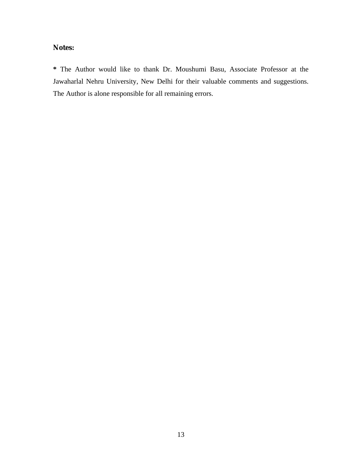**Notes:**

**\*** The Author would like to thank Dr. Moushumi Basu, Associate Professor at the Jawaharlal Nehru University, New Delhi for their valuable comments and suggestions. The Author is alone responsible for all remaining errors.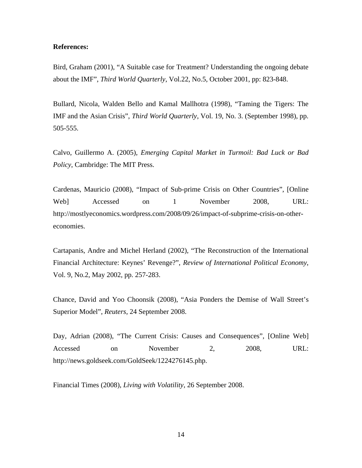#### **References:**

Bird, Graham (2001), "A Suitable case for Treatment? Understanding the ongoing debate about the IMF", *Third World Quarterly*, Vol.22, No.5, October 2001, pp: 823-848.

Bullard, Nicola, Walden Bello and Kamal Mallhotra (1998), "Taming the Tigers: The IMF and the Asian Crisis", *Third World Quarterly*, Vol. 19, No. 3. (September 1998), pp. 505-555.

Calvo, Guillermo A. (2005), *Emerging Capital Market in Turmoil: Bad Luck or Bad Policy*, Cambridge: The MIT Press.

Cardenas, Mauricio (2008), "Impact of Sub-prime Crisis on Other Countries", [Online Web] Accessed on 1 November 2008, URL: http://mostlyeconomics.wordpress.com/2008/09/26/impact-of-subprime-crisis-on-othereconomies.

Cartapanis, Andre and Michel Herland (2002), "The Reconstruction of the International Financial Architecture: Keynes' Revenge?", *Review of International Political Economy*, Vol. 9, No.2, May 2002, pp. 257-283.

Chance, David and Yoo Choonsik (2008), "Asia Ponders the Demise of Wall Street's Superior Model", *Reuters*, 24 September 2008.

Day, Adrian (2008), "The Current Crisis: Causes and Consequences", [Online Web] Accessed on November 2, 2008, URL: http://news.goldseek.com/GoldSeek/1224276145.php.

Financial Times (2008), *Living with Volatility*, 26 September 2008.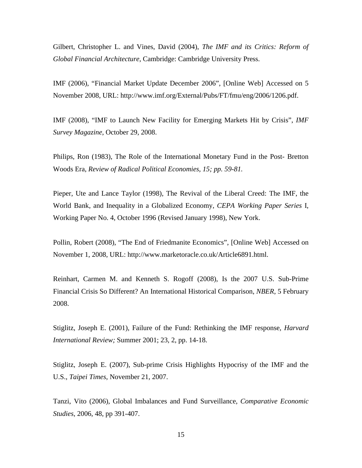Gilbert, Christopher L. and Vines, David (2004), *The IMF and its Critics: Reform of Global Financial Architecture*, Cambridge: Cambridge University Press.

IMF (2006), "Financial Market Update December 2006", [Online Web] Accessed on 5 November 2008, URL: http://www.imf.org/External/Pubs/FT/fmu/eng/2006/1206.pdf.

IMF (2008), "IMF to Launch New Facility for Emerging Markets Hit by Crisis", *IMF Survey Magazine*, October 29, 2008.

Philips, Ron (1983), The Role of the International Monetary Fund in the Post- Bretton Woods Era, *Review of Radical Political Economies, 15; pp. 59-81.*

Pieper, Ute and Lance Taylor (1998), The Revival of the Liberal Creed: The IMF, the World Bank, and Inequality in a Globalized Economy, *CEPA Working Paper Series* I, Working Paper No. 4, October 1996 (Revised January 1998), New York.

Pollin, Robert (2008), "The End of Friedmanite Economics", [Online Web] Accessed on November 1, 2008, URL: http://www.marketoracle.co.uk/Article6891.html.

Reinhart, Carmen M. and Kenneth S. Rogoff (2008), Is the 2007 U.S. Sub-Prime Financial Crisis So Different? An International Historical Comparison, *NBER*, 5 February 2008.

Stiglitz, Joseph E. (2001), Failure of the Fund: Rethinking the IMF response, *Harvard International Review;* Summer 2001; 23, 2, pp. 14-18.

Stiglitz, Joseph E. (2007), Sub-prime Crisis Highlights Hypocrisy of the IMF and the U.S., *Taipei Times*, November 21, 2007.

Tanzi, Vito (2006), Global Imbalances and Fund Surveillance, *Comparative Economic Studies*, 2006, 48, pp 391-407.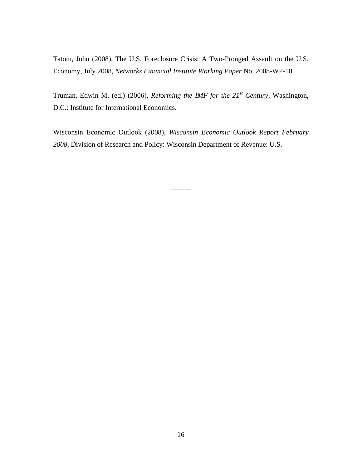Tatom, John (2008), The U.S. Foreclosure Crisis: A Two-Pronged Assault on the U.S. Economy, July 2008, *Networks Financial Institute Working Paper* No. 2008-WP-10.

Truman, Edwin M. (ed.) (2006), *Reforming the IMF for the 21st Century*, Washington, D.C.: Institute for International Economics.

Wisconsin Economic Outlook (2008), *Wisconsin Economic Outlook Report February 2008*, Division of Research and Policy: Wisconsin Department of Revenue: U.S.

---------

16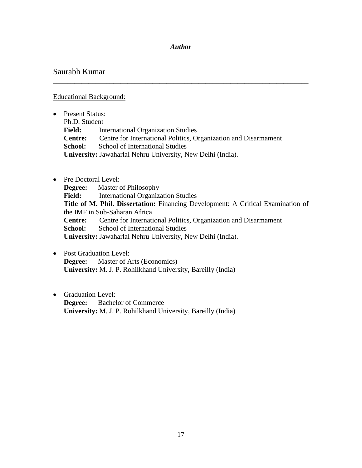## *Author*

**\_\_\_\_\_\_\_\_\_\_\_\_\_\_\_\_\_\_\_\_\_\_\_\_\_\_\_\_\_\_\_\_\_\_\_\_\_\_\_\_\_\_\_\_\_\_\_\_\_\_\_\_\_\_\_\_\_\_\_\_\_\_\_\_\_\_\_\_\_\_\_\_**

# Saurabh Kumar

# Educational Background:

- Present Status: Ph.D. Student **Field:** International Organization Studies **Centre:** Centre for International Politics, Organization and Disarmament **School:** School of International Studies **University:** Jawaharlal Nehru University, New Delhi (India).
- Pre Doctoral Level: **Degree:** Master of Philosophy **Field:** International Organization Studies **Title of M. Phil. Dissertation:** Financing Development: A Critical Examination of the IMF in Sub-Saharan Africa **Centre:** Centre for International Politics, Organization and Disarmament **School:** School of International Studies **University:** Jawaharlal Nehru University, New Delhi (India).
- Post Graduation Level: **Degree:** Master of Arts (Economics) **University:** M. J. P. Rohilkhand University, Bareilly (India)
- Graduation Level: **Degree:** Bachelor of Commerce **University:** M. J. P. Rohilkhand University, Bareilly (India)